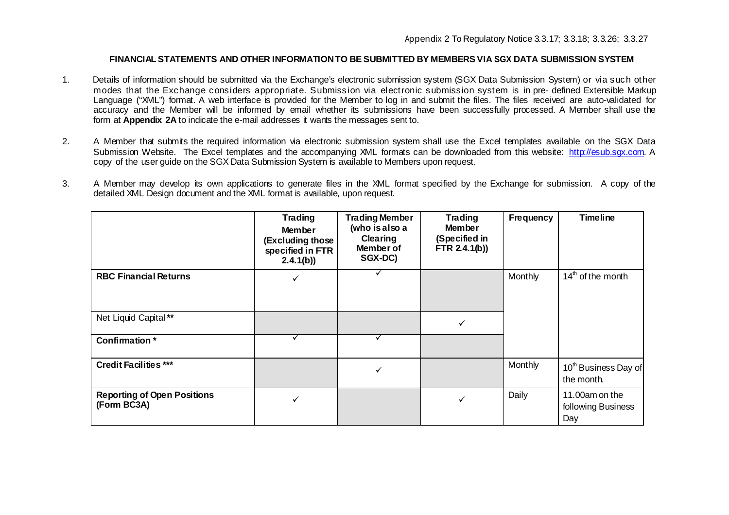## **FINANCIALSTATEMENTS AND OTHER INFORMATIONTO BE SUBMITTED BY MEMBERS VIA SGX DATA SUBMISSION SYSTEM**

- 1. Details of information should be submitted via the Exchange's electronic submission system (SGX Data Submission System) or via such other modes that the Exchange considers appropriate. Submission via electronic submission system is in pre- defined Extensible Markup Language ("XML") format. A web interface is provided for the Member to log in and submit the files. The files received are auto-validated for accuracy and the Member will be informed by email whether its submissions have been successfully processed. A Member shall use the form at **Appendix 2A** to indicate the e-mail addresses it wants the messages sent to.
- 2. A Member that submits the required information via electronic submission system shall use the Excel templates available on the SGX Data Submission Website. The Excel templates and the accompanying XML formats can be downloaded from this website: [http://esub.sgx.com.](http://esub.sgx.com/) A copy of the user guide on the SGX Data Submission System is available to Members upon request.
- 3. A Member may develop its own applications to generate files in the XML format specified by the Exchange for submission. A copy of the detailed XML Design document and the XML format is available, upon request.

|                                                   | <b>Trading</b><br><b>Member</b><br>(Excluding those<br>specified in FTR<br>2.4.1(b) | <b>Trading Member</b><br>(who is also a<br><b>Clearing</b><br>Member of<br>SGX-DC) | <b>Trading</b><br><b>Member</b><br>(Specified in<br>FTR $2.4.1(b)$ ) | Frequency | <b>Timeline</b>                                |
|---------------------------------------------------|-------------------------------------------------------------------------------------|------------------------------------------------------------------------------------|----------------------------------------------------------------------|-----------|------------------------------------------------|
| <b>RBC Financial Returns</b>                      | $\checkmark$                                                                        |                                                                                    |                                                                      | Monthly   | $14th$ of the month                            |
| Net Liquid Capital**                              |                                                                                     |                                                                                    |                                                                      |           |                                                |
| Confirmation*                                     |                                                                                     |                                                                                    |                                                                      |           |                                                |
| <b>Credit Facilities ***</b>                      |                                                                                     | $\checkmark$                                                                       |                                                                      | Monthly   | 10 <sup>th</sup> Business Day of<br>the month. |
| <b>Reporting of Open Positions</b><br>(Form BC3A) |                                                                                     |                                                                                    |                                                                      | Daily     | 11.00am on the<br>following Business<br>Day    |